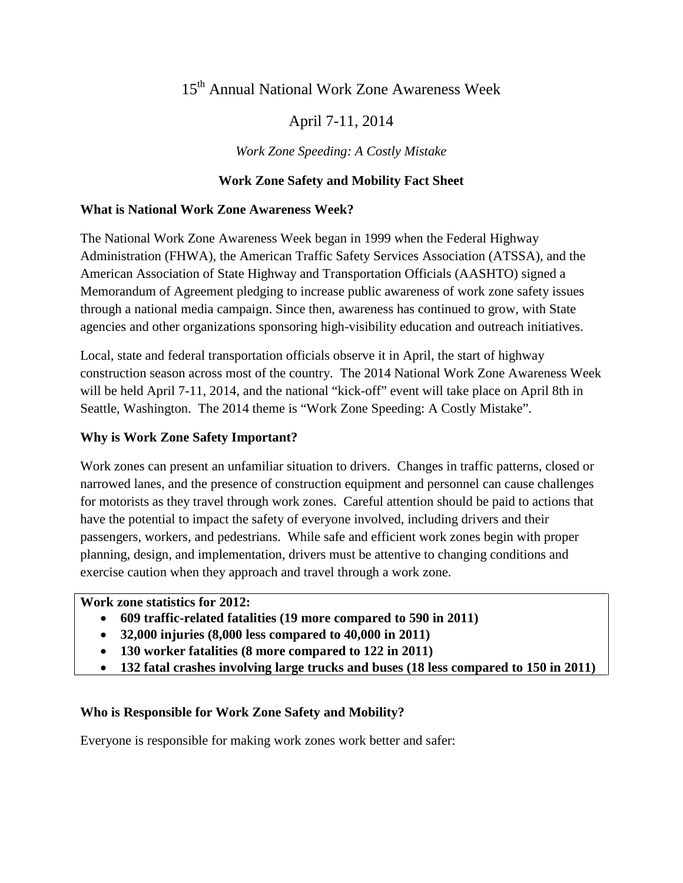# 15th Annual National Work Zone Awareness Week

## April 7-11, 2014

## *Work Zone Speeding: A Costly Mistake*

#### **Work Zone Safety and Mobility Fact Sheet**

#### **What is National Work Zone Awareness Week?**

The National Work Zone Awareness Week began in 1999 when the Federal Highway Administration (FHWA), the American Traffic Safety Services Association (ATSSA), and the American Association of State Highway and Transportation Officials (AASHTO) signed a Memorandum of Agreement pledging to increase public awareness of work zone safety issues through a national media campaign. Since then, awareness has continued to grow, with State agencies and other organizations sponsoring high-visibility education and outreach initiatives.

Local, state and federal transportation officials observe it in April, the start of highway construction season across most of the country. The 2014 National Work Zone Awareness Week will be held April 7-11, 2014, and the national "kick-off" event will take place on April 8th in Seattle, Washington. The 2014 theme is "Work Zone Speeding: A Costly Mistake".

#### **Why is Work Zone Safety Important?**

Work zones can present an unfamiliar situation to drivers. Changes in traffic patterns, closed or narrowed lanes, and the presence of construction equipment and personnel can cause challenges for motorists as they travel through work zones. Careful attention should be paid to actions that have the potential to impact the safety of everyone involved, including drivers and their passengers, workers, and pedestrians. While safe and efficient work zones begin with proper planning, design, and implementation, drivers must be attentive to changing conditions and exercise caution when they approach and travel through a work zone.

#### **Work zone statistics for 2012:**

- **609 traffic-related fatalities (19 more compared to 590 in 2011)**
- **32,000 injuries (8,000 less compared to 40,000 in 2011)**
- **130 worker fatalities (8 more compared to 122 in 2011)**
- **132 fatal crashes involving large trucks and buses (18 less compared to 150 in 2011)**

#### **Who is Responsible for Work Zone Safety and Mobility?**

Everyone is responsible for making work zones work better and safer: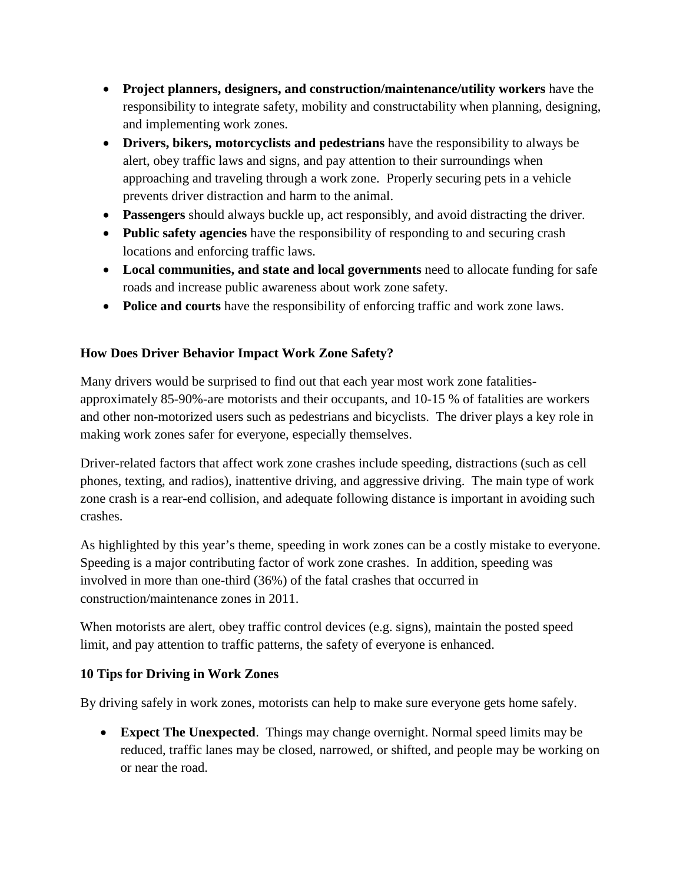- **Project planners, designers, and construction/maintenance/utility workers** have the responsibility to integrate safety, mobility and constructability when planning, designing, and implementing work zones.
- **Drivers, bikers, motorcyclists and pedestrians** have the responsibility to always be alert, obey traffic laws and signs, and pay attention to their surroundings when approaching and traveling through a work zone. Properly securing pets in a vehicle prevents driver distraction and harm to the animal.
- **Passengers** should always buckle up, act responsibly, and avoid distracting the driver.
- **Public safety agencies** have the responsibility of responding to and securing crash locations and enforcing traffic laws.
- **Local communities, and state and local governments** need to allocate funding for safe roads and increase public awareness about work zone safety.
- **Police and courts** have the responsibility of enforcing traffic and work zone laws.

## **How Does Driver Behavior Impact Work Zone Safety?**

Many drivers would be surprised to find out that each year most work zone fatalitiesapproximately 85-90%-are motorists and their occupants, and 10-15 % of fatalities are workers and other non-motorized users such as pedestrians and bicyclists. The driver plays a key role in making work zones safer for everyone, especially themselves.

Driver-related factors that affect work zone crashes include speeding, distractions (such as cell phones, texting, and radios), inattentive driving, and aggressive driving. The main type of work zone crash is a rear-end collision, and adequate following distance is important in avoiding such crashes.

As highlighted by this year's theme, speeding in work zones can be a costly mistake to everyone. Speeding is a major contributing factor of work zone crashes. In addition, speeding was involved in more than one-third (36%) of the fatal crashes that occurred in construction/maintenance zones in 2011.

When motorists are alert, obey traffic control devices (e.g. signs), maintain the posted speed limit, and pay attention to traffic patterns, the safety of everyone is enhanced.

## **10 Tips for Driving in Work Zones**

By driving safely in work zones, motorists can help to make sure everyone gets home safely.

• **Expect The Unexpected**. Things may change overnight. Normal speed limits may be reduced, traffic lanes may be closed, narrowed, or shifted, and people may be working on or near the road.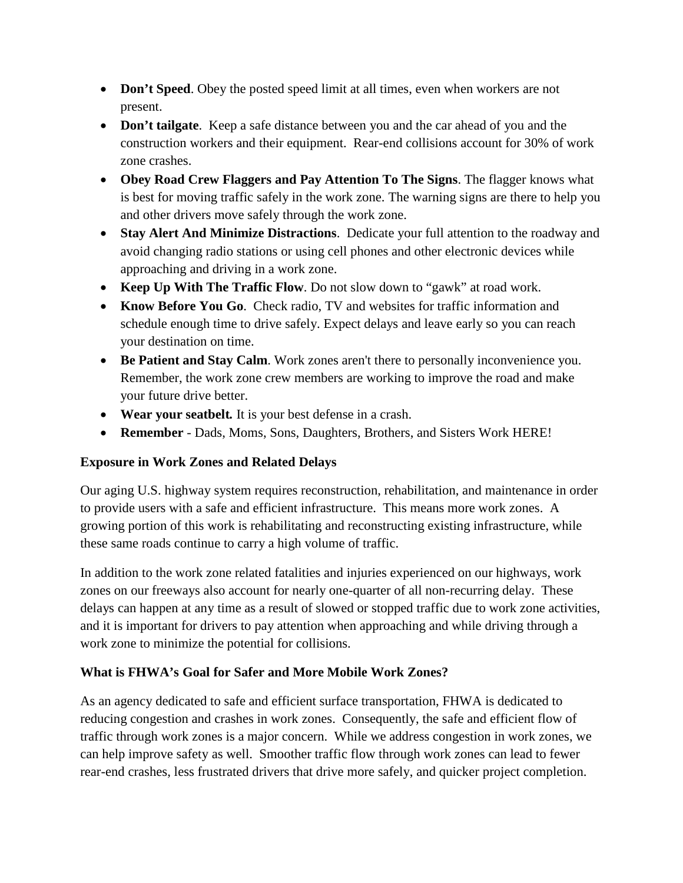- **Don't Speed**. Obey the posted speed limit at all times, even when workers are not present.
- **Don't tailgate**. Keep a safe distance between you and the car ahead of you and the construction workers and their equipment. Rear-end collisions account for 30% of work zone crashes.
- **Obey Road Crew Flaggers and Pay Attention To The Signs**. The flagger knows what is best for moving traffic safely in the work zone. The warning signs are there to help you and other drivers move safely through the work zone.
- **Stay Alert And Minimize Distractions**. Dedicate your full attention to the roadway and avoid changing radio stations or using cell phones and other electronic devices while approaching and driving in a work zone.
- **Keep Up With The Traffic Flow**. Do not slow down to "gawk" at road work.
- **Know Before You Go**. Check radio, TV and websites for traffic information and schedule enough time to drive safely. Expect delays and leave early so you can reach your destination on time.
- **Be Patient and Stay Calm**. Work zones aren't there to personally inconvenience you. Remember, the work zone crew members are working to improve the road and make your future drive better.
- **Wear your seatbelt***.* It is your best defense in a crash.
- **Remember** Dads, Moms, Sons, Daughters, Brothers, and Sisters Work HERE!

## **Exposure in Work Zones and Related Delays**

Our aging U.S. highway system requires reconstruction, rehabilitation, and maintenance in order to provide users with a safe and efficient infrastructure. This means more work zones. A growing portion of this work is rehabilitating and reconstructing existing infrastructure, while these same roads continue to carry a high volume of traffic.

In addition to the work zone related fatalities and injuries experienced on our highways, work zones on our freeways also account for nearly one-quarter of all non-recurring delay. These delays can happen at any time as a result of slowed or stopped traffic due to work zone activities, and it is important for drivers to pay attention when approaching and while driving through a work zone to minimize the potential for collisions.

## **What is FHWA's Goal for Safer and More Mobile Work Zones?**

As an agency dedicated to safe and efficient surface transportation, FHWA is dedicated to reducing congestion and crashes in work zones. Consequently, the safe and efficient flow of traffic through work zones is a major concern. While we address congestion in work zones, we can help improve safety as well. Smoother traffic flow through work zones can lead to fewer rear-end crashes, less frustrated drivers that drive more safely, and quicker project completion.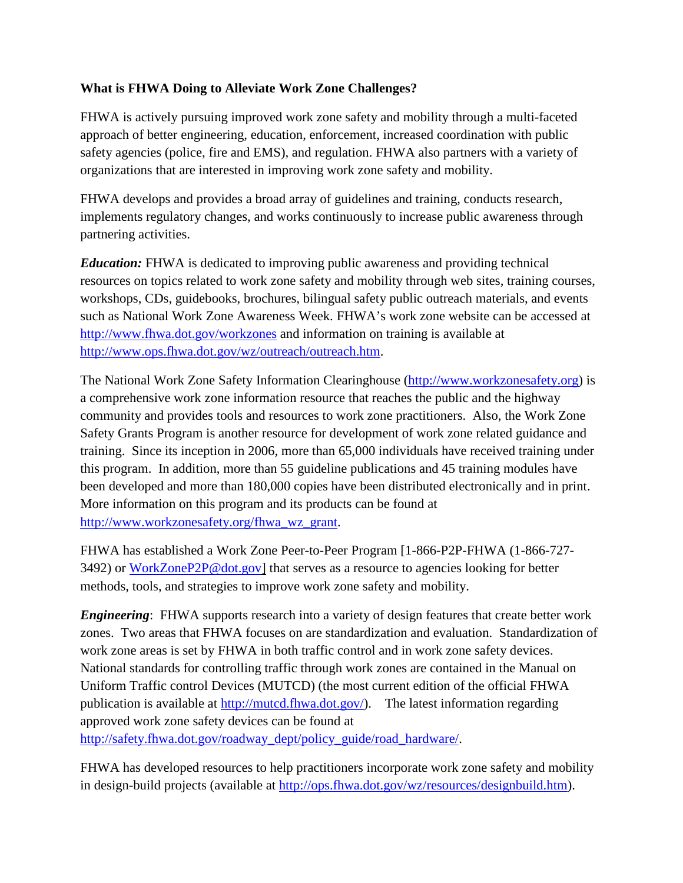#### **What is FHWA Doing to Alleviate Work Zone Challenges?**

FHWA is actively pursuing improved work zone safety and mobility through a multi-faceted approach of better engineering, education, enforcement, increased coordination with public safety agencies (police, fire and EMS), and regulation. FHWA also partners with a variety of organizations that are interested in improving work zone safety and mobility.

FHWA develops and provides a broad array of guidelines and training, conducts research, implements regulatory changes, and works continuously to increase public awareness through partnering activities.

*Education:* FHWA is dedicated to improving public awareness and providing technical resources on topics related to work zone safety and mobility through web sites, training courses, workshops, CDs, guidebooks, brochures, bilingual safety public outreach materials, and events such as National Work Zone Awareness Week. FHWA's work zone website can be accessed at <http://www.fhwa.dot.gov/workzones> and information on training is available at [http://www.ops.fhwa.dot.gov/wz/outreach/outreach.htm.](http://www.ops.fhwa.dot.gov/wz/outreach/outreach.htm)

The National Work Zone Safety Information Clearinghouse [\(http://www.workzonesafety.org\)](http://www.workzonesafety.org/) is a comprehensive work zone information resource that reaches the public and the highway community and provides tools and resources to work zone practitioners. Also, the Work Zone Safety Grants Program is another resource for development of work zone related guidance and training. Since its inception in 2006, more than 65,000 individuals have received training under this program. In addition, more than 55 guideline publications and 45 training modules have been developed and more than 180,000 copies have been distributed electronically and in print. More information on this program and its products can be found at [http://www.workzonesafety.org/fhwa\\_wz\\_grant.](http://www.workzonesafety.org/fhwa_wz_grant)

FHWA has established a Work Zone Peer-to-Peer Program [1-866-P2P-FHWA (1-866-727- 3492) or WorkZoneP2P@dot.gov] that serves as a resource to agencies looking for better methods, tools, and strategies to improve work zone safety and mobility.

*Engineering*: FHWA supports research into a variety of design features that create better work zones. Two areas that FHWA focuses on are standardization and evaluation. Standardization of work zone areas is set by FHWA in both traffic control and in work zone safety devices. National standards for controlling traffic through work zones are contained in the Manual on Uniform Traffic control Devices (MUTCD) (the most current edition of the official FHWA publication is available at [http://mutcd.fhwa.dot.gov/\)](http://mutcd.fhwa.dot.gov/). The latest information regarding approved work zone safety devices can be found at [http://safety.fhwa.dot.gov/roadway\\_dept/policy\\_guide/road\\_hardware/.](http://safety.fhwa.dot.gov/roadway_dept/policy_guide/road_hardware/)

FHWA has developed resources to help practitioners incorporate work zone safety and mobility in design-build projects (available at [http://ops.fhwa.dot.gov/wz/resources/designbuild.htm\)](http://ops.fhwa.dot.gov/wz/resources/designbuild.htm).